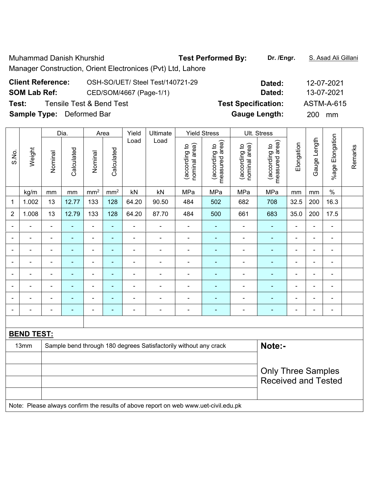Muhammad Danish Khurshid **Test Performed By: Dr. /Engr.** S. Asad Ali Gillani Manager Construction, Orient Electronices (Pvt) Ltd, Lahore

## **Client Reference:** OSH-SO/UET/ Steel Test/140721-29 **Dated:** 12-07-2021 **SOM Lab Ref:** CED/SOM/4667 (Page-1/1) **Dated:** 13-07-2021 **Test:** Tensile Test & Bend Test **Test Specification:** ASTM-A-615 **Sample Type:** Deformed Bar **Gauge Length:** 200 mm

|                          |                   |                | Dia.           |                          | Area            | Yield          | Ultimate                                                                            |                                | <b>Yield Stress</b>             |                                | Ult. Stress                     |                          |                |                              |         |
|--------------------------|-------------------|----------------|----------------|--------------------------|-----------------|----------------|-------------------------------------------------------------------------------------|--------------------------------|---------------------------------|--------------------------------|---------------------------------|--------------------------|----------------|------------------------------|---------|
| S.No.                    | Weight            | Nominal        | Calculated     | Nominal                  | Calculated      | Load           | Load                                                                                | nominal area)<br>(according to | measured area)<br>(according to | nominal area)<br>(according to | measured area)<br>(according to | Elongation               | Gauge Length   | %age Elongation              | Remarks |
|                          | kg/m              | mm             | $\mathsf{mm}$  | mm <sup>2</sup>          | mm <sup>2</sup> | kN             | kN                                                                                  | MPa                            | MPa                             | MPa                            | MPa                             | mm                       | mm             | $\%$                         |         |
| 1                        | 1.002             | 13             | 12.77          | 133                      | 128             | 64.20          | 90.50                                                                               | 484                            | 502                             | 682                            | 708                             | 32.5                     | 200            | 16.3                         |         |
| $\overline{2}$           | 1.008             | 13             | 12.79          | 133                      | 128             | 64.20          | 87.70                                                                               | 484                            | 500                             | 661                            | 683                             | 35.0                     | 200            | 17.5                         |         |
|                          |                   | $\blacksquare$ | ä,             | $\blacksquare$           | ä,              | ÷,             | $\blacksquare$                                                                      | $\overline{\phantom{a}}$       | ä,                              | $\blacksquare$                 | $\blacksquare$                  | $\overline{\phantom{a}}$ | ä,             | ÷,                           |         |
|                          |                   | $\blacksquare$ | $\blacksquare$ | $\blacksquare$           | ٠               | $\blacksquare$ | $\blacksquare$                                                                      | $\blacksquare$                 | ÷,                              | ۰                              | $\blacksquare$                  | $\blacksquare$           | L.             | $\blacksquare$               |         |
|                          |                   | $\blacksquare$ |                | ÷                        | ä,              | ÷              | Ē,                                                                                  | ä,                             | -                               |                                |                                 |                          | Ē,             | ÷                            |         |
|                          |                   | Ē,             | $\blacksquare$ | $\blacksquare$           | ٠               | $\blacksquare$ | $\blacksquare$                                                                      | $\blacksquare$                 | ä,                              | $\blacksquare$                 | $\blacksquare$                  | $\blacksquare$           | $\blacksquare$ | $\qquad \qquad \blacksquare$ |         |
| $\overline{\phantom{0}}$ |                   | $\blacksquare$ | $\blacksquare$ | $\overline{a}$           | ÷               | $\blacksquare$ | $\blacksquare$                                                                      | $\overline{\phantom{a}}$       | ä,                              | $\overline{a}$                 | $\blacksquare$                  | $\blacksquare$           |                |                              |         |
|                          |                   | Ē,             | $\blacksquare$ | $\overline{\phantom{a}}$ | ÷               | ÷              | Ē,                                                                                  | $\blacksquare$                 | $\blacksquare$                  | $\blacksquare$                 | Ē.                              | $\blacksquare$           | ä,             | $\blacksquare$               |         |
|                          | $\blacksquare$    | $\blacksquare$ | $\blacksquare$ | $\overline{\phantom{a}}$ | $\blacksquare$  | $\blacksquare$ | $\overline{\phantom{a}}$                                                            |                                | ä,                              | $\overline{\phantom{0}}$       | $\blacksquare$                  | ۰                        | $\blacksquare$ | $\blacksquare$               |         |
|                          |                   | $\blacksquare$ | $\blacksquare$ | $\overline{\phantom{a}}$ | $\blacksquare$  | Ē,             | $\overline{a}$                                                                      | $\blacksquare$                 | ÷,                              | ÷                              | $\blacksquare$                  | $\blacksquare$           | $\blacksquare$ | $\qquad \qquad \blacksquare$ |         |
|                          |                   |                |                |                          |                 |                |                                                                                     |                                |                                 |                                |                                 |                          |                |                              |         |
|                          | <b>BEND TEST:</b> |                |                |                          |                 |                |                                                                                     |                                |                                 |                                |                                 |                          |                |                              |         |
|                          | 13mm              |                |                |                          |                 |                | Sample bend through 180 degrees Satisfactorily without any crack                    |                                |                                 |                                | Note:-                          |                          |                |                              |         |
|                          |                   |                |                |                          |                 |                |                                                                                     |                                |                                 |                                |                                 |                          |                |                              |         |
|                          |                   |                |                |                          |                 |                |                                                                                     |                                |                                 |                                | <b>Only Three Samples</b>       |                          |                |                              |         |
|                          |                   |                |                |                          |                 |                |                                                                                     |                                |                                 |                                | <b>Received and Tested</b>      |                          |                |                              |         |
|                          |                   |                |                |                          |                 |                |                                                                                     |                                |                                 |                                |                                 |                          |                |                              |         |
|                          |                   |                |                |                          |                 |                | Note: Please always confirm the results of above report on web www.uet-civil.edu.pk |                                |                                 |                                |                                 |                          |                |                              |         |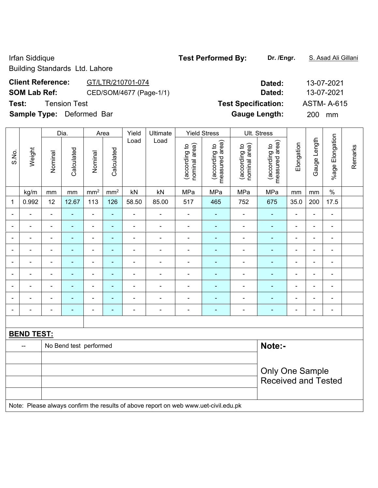Building Standards Ltd. Lahore

## **Client Reference:** GT/LTR/210701-074 **Dated:** 13-07-2021 **SOM Lab Ref:** CED/SOM/4677 (Page-1/1) **Dated:** 13-07-2021 **Test:** Tension Test **Test Specification:** ASTM- A-615

**Sample Type:** Deformed Bar **Gauge Length:** 200 mm

|                          | Dia.              | Area                     |                        | Yield          | Ultimate        | <b>Yield Stress</b> |                                                                                     | Ult. Stress                    |                                 |                                |                                 |                          |                          |                 |         |
|--------------------------|-------------------|--------------------------|------------------------|----------------|-----------------|---------------------|-------------------------------------------------------------------------------------|--------------------------------|---------------------------------|--------------------------------|---------------------------------|--------------------------|--------------------------|-----------------|---------|
| S.No.                    | Weight            | Nominal                  | Calculated             | Nominal        | Calculated      | Load                | Load                                                                                | nominal area)<br>(according to | (according to<br>measured area) | nominal area)<br>(according to | measured area)<br>(according to | Elongation               | Gauge Length             | %age Elongation | Remarks |
|                          | kg/m              | mm                       | mm                     | $\rm mm^2$     | mm <sup>2</sup> | kN                  | kN                                                                                  | MPa                            | MPa                             | MPa                            | MPa                             | mm                       | $\,mm$                   | $\%$            |         |
| 1                        | 0.992             | 12                       | 12.67                  | 113            | 126             | 58.50               | 85.00                                                                               | 517                            | 465                             | 752                            | 675                             | 35.0                     | 200                      | 17.5            |         |
|                          |                   | ä,                       | $\blacksquare$         | $\blacksquare$ | ÷,              | $\blacksquare$      | $\blacksquare$                                                                      | ä,                             | $\blacksquare$                  | $\overline{\phantom{0}}$       | ä,                              | $\blacksquare$           | $\blacksquare$           | $\blacksquare$  |         |
|                          |                   | $\blacksquare$           | $\blacksquare$         | $\blacksquare$ | ÷,              | $\blacksquare$      | $\blacksquare$                                                                      | $\blacksquare$                 | $\blacksquare$                  | $\qquad \qquad \blacksquare$   | ÷,                              | $\blacksquare$           | $\overline{a}$           | $\blacksquare$  |         |
|                          |                   | $\overline{\phantom{a}}$ | $\blacksquare$         | $\blacksquare$ | ÷               | $\blacksquare$      | $\blacksquare$                                                                      | $\blacksquare$                 | $\blacksquare$                  | $\overline{a}$                 | $\blacksquare$                  | $\blacksquare$           | $\blacksquare$           | $\blacksquare$  |         |
| $\overline{\phantom{0}}$ |                   | $\blacksquare$           | $\blacksquare$         | $\blacksquare$ | ۰               | $\blacksquare$      | $\blacksquare$                                                                      | $\blacksquare$                 | ۰                               | $\frac{1}{2}$                  | ÷,                              | $\blacksquare$           | $\blacksquare$           | $\blacksquare$  |         |
| $\blacksquare$           | ÷                 | $\blacksquare$           | ٠                      | $\blacksquare$ | ۰               | $\blacksquare$      | $\overline{\phantom{a}}$                                                            | $\blacksquare$                 | $\blacksquare$                  | $\frac{1}{2}$                  | ÷,                              | $\overline{\phantom{a}}$ | $\blacksquare$           | $\frac{1}{2}$   |         |
| $\blacksquare$           | $\blacksquare$    | $\blacksquare$           | ä,                     | $\blacksquare$ | ä,              | $\blacksquare$      | $\blacksquare$                                                                      | ä,                             | $\blacksquare$                  | $\blacksquare$                 | ÷,                              | ä,                       | $\frac{1}{2}$            |                 |         |
|                          |                   | $\blacksquare$           | ÷,                     | ÷,             | ÷               | ÷,                  | $\blacksquare$                                                                      | $\blacksquare$                 | ÷,                              | $\blacksquare$                 | ä,                              | ä,                       | ÷,                       | -               |         |
|                          |                   | $\blacksquare$           | $\blacksquare$         | $\blacksquare$ | $\blacksquare$  | $\blacksquare$      | $\blacksquare$                                                                      | $\blacksquare$                 | $\blacksquare$                  | ÷                              | L,                              | $\blacksquare$           | $\blacksquare$           |                 |         |
|                          |                   | $\blacksquare$           | $\blacksquare$         | $\blacksquare$ | ۰               | $\blacksquare$      | $\blacksquare$                                                                      | $\blacksquare$                 | $\blacksquare$                  | $\overline{a}$                 | ä,                              | $\blacksquare$           | $\overline{\phantom{a}}$ | ä,              |         |
|                          |                   |                          |                        |                |                 |                     |                                                                                     |                                |                                 |                                |                                 |                          |                          |                 |         |
|                          | <b>BEND TEST:</b> |                          |                        |                |                 |                     |                                                                                     |                                |                                 |                                |                                 |                          |                          |                 |         |
|                          | --                |                          | No Bend test performed |                |                 |                     |                                                                                     |                                |                                 |                                | Note:-                          |                          |                          |                 |         |
|                          |                   |                          |                        |                |                 |                     |                                                                                     |                                |                                 |                                |                                 |                          |                          |                 |         |
|                          |                   |                          |                        |                |                 |                     |                                                                                     |                                |                                 |                                | <b>Only One Sample</b>          |                          |                          |                 |         |
|                          |                   |                          |                        |                |                 |                     |                                                                                     |                                |                                 |                                | <b>Received and Tested</b>      |                          |                          |                 |         |
|                          |                   |                          |                        |                |                 |                     |                                                                                     |                                |                                 |                                |                                 |                          |                          |                 |         |
|                          |                   |                          |                        |                |                 |                     | Note: Please always confirm the results of above report on web www.uet-civil.edu.pk |                                |                                 |                                |                                 |                          |                          |                 |         |
|                          |                   |                          |                        |                |                 |                     |                                                                                     |                                |                                 |                                |                                 |                          |                          |                 |         |

## Irfan Siddique **Test Performed By: Dr. /Engr.** S. Asad Ali Gillani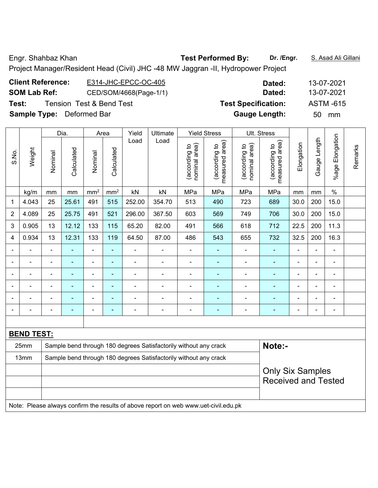Engr. Shahbaz Khan **Test Performed By:** Dr. /Engr. **S. Asad Ali Gillani** 

Project Manager/Resident Head (Civil) JHC -48 MW Jaggran -II, Hydropower Project

| <b>Client Reference:</b>         | E314-JHC-EPCC-OC-405                | Dated:                     | 13-07-2021       |
|----------------------------------|-------------------------------------|----------------------------|------------------|
| <b>SOM Lab Ref:</b>              | CED/SOM/4668(Page-1/1)              | Dated:                     | 13-07-2021       |
| Test:                            | <b>Tension Test &amp; Bend Test</b> | <b>Test Specification:</b> | <b>ASTM -615</b> |
| <b>Sample Type:</b> Deformed Bar |                                     | <b>Gauge Length:</b>       | mm<br>50.        |

|                |                          |                                                                            | Dia.           |                          | Area            | Yield          | Ultimate                                                                            |                                | <b>Yield Stress</b>             |                                | Ult. Stress                     |                |                |                          |         |
|----------------|--------------------------|----------------------------------------------------------------------------|----------------|--------------------------|-----------------|----------------|-------------------------------------------------------------------------------------|--------------------------------|---------------------------------|--------------------------------|---------------------------------|----------------|----------------|--------------------------|---------|
| S.No.          | Weight                   | Nominal                                                                    | Calculated     | Nominal                  | Calculated      | Load           | Load                                                                                | nominal area)<br>(according to | measured area)<br>(according to | nominal area)<br>(according to | (according to<br>measured area) | Elongation     | Gauge Length   | Elongation<br>%age F     | Remarks |
|                | kg/m                     | mm                                                                         | mm             | mm <sup>2</sup>          | mm <sup>2</sup> | kN             | kN                                                                                  | MPa                            | MPa                             | MPa                            | MPa                             | mm             | mm             | $\%$                     |         |
| 1              | 4.043                    | 25                                                                         | 25.61          | 491                      | 515             | 252.00         | 354.70                                                                              | 513                            | 490                             | 723                            | 689                             | 30.0           | 200            | 15.0                     |         |
| $\overline{2}$ | 4.089                    | 25                                                                         | 25.75          | 491                      | 521             | 296.00         | 367.50                                                                              | 603                            | 569                             | 749                            | 706                             | 30.0           | 200            | 15.0                     |         |
| 3              | 0.905                    | 13                                                                         | 12.12          | 133                      | 115             | 65.20          | 82.00                                                                               | 491                            | 566                             | 618                            | 712                             | 22.5           | 200            | 11.3                     |         |
| 4              | 0.934                    | 13                                                                         | 12.31          | 133                      | 119             | 64.50          | 87.00                                                                               | 486                            | 543                             | 655                            | 732                             | 32.5           | 200            | 16.3                     |         |
| -              | $\overline{\phantom{0}}$ | $\blacksquare$                                                             | $\blacksquare$ | $\blacksquare$           | $\blacksquare$  | ÷,             | $\overline{\phantom{a}}$                                                            | $\blacksquare$                 | $\blacksquare$                  | ÷,                             | ÷                               | $\blacksquare$ | $\blacksquare$ | $\overline{\phantom{a}}$ |         |
|                | $\blacksquare$           | $\blacksquare$                                                             | $\blacksquare$ | $\blacksquare$           | $\blacksquare$  | ÷              | ÷,                                                                                  | $\blacksquare$                 | ٠                               | ÷,                             | ÷                               | $\blacksquare$ | $\blacksquare$ | $\blacksquare$           |         |
|                |                          |                                                                            | $\blacksquare$ | $\overline{a}$           | $\overline{a}$  |                | $\blacksquare$                                                                      | $\blacksquare$                 | $\blacksquare$                  | $\blacksquare$                 | $\overline{a}$                  |                |                | $\blacksquare$           |         |
|                |                          |                                                                            |                | $\blacksquare$           | $\blacksquare$  |                |                                                                                     | $\blacksquare$                 |                                 |                                |                                 |                | ä,             | $\blacksquare$           |         |
| -              | $\overline{a}$           |                                                                            | ٠              | $\overline{\phantom{0}}$ | $\blacksquare$  | $\blacksquare$ | ۰                                                                                   | $\blacksquare$                 | ۰                               | ۰                              | ۰                               | $\blacksquare$ | $\overline{a}$ | -                        |         |
|                |                          |                                                                            | $\blacksquare$ | ÷,                       | $\blacksquare$  | $\blacksquare$ | $\overline{a}$                                                                      | $\blacksquare$                 | $\blacksquare$                  | ÷,                             | $\blacksquare$                  | $\blacksquare$ | $\blacksquare$ | $\overline{\phantom{a}}$ |         |
|                |                          |                                                                            |                |                          |                 |                |                                                                                     |                                |                                 |                                |                                 |                |                |                          |         |
|                | <b>BEND TEST:</b>        |                                                                            |                |                          |                 |                |                                                                                     |                                |                                 |                                |                                 |                |                |                          |         |
|                | 25mm                     | Note:-<br>Sample bend through 180 degrees Satisfactorily without any crack |                |                          |                 |                |                                                                                     |                                |                                 |                                |                                 |                |                |                          |         |
|                | 13mm                     |                                                                            |                |                          |                 |                | Sample bend through 180 degrees Satisfactorily without any crack                    |                                |                                 |                                |                                 |                |                |                          |         |
|                |                          |                                                                            |                |                          |                 |                |                                                                                     |                                |                                 |                                | <b>Only Six Samples</b>         |                |                |                          |         |
|                |                          |                                                                            |                |                          |                 |                |                                                                                     |                                |                                 |                                | <b>Received and Tested</b>      |                |                |                          |         |
|                |                          |                                                                            |                |                          |                 |                |                                                                                     |                                |                                 |                                |                                 |                |                |                          |         |
|                |                          |                                                                            |                |                          |                 |                | Note: Please always confirm the results of above report on web www.uet-civil.edu.pk |                                |                                 |                                |                                 |                |                |                          |         |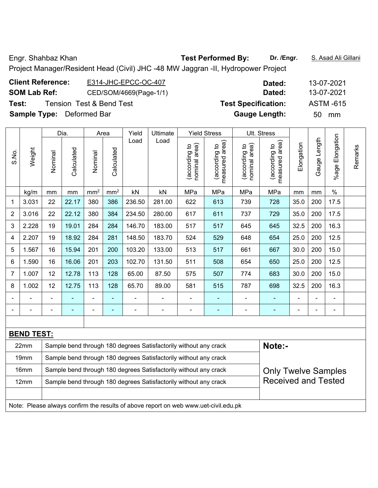Engr. Shahbaz Khan **Test Performed By:** Dr. /Engr. **S. Asad Ali Gillani** 

Project Manager/Resident Head (Civil) JHC -48 MW Jaggran -II, Hydropower Project

| <b>Client Reference:</b>         | E314-JHC-EPCC-OC-407   | Dated:                     | 13-07-2021       |
|----------------------------------|------------------------|----------------------------|------------------|
| <b>SOM Lab Ref:</b>              | CED/SOM/4669(Page-1/1) | Dated:                     | 13-07-2021       |
| Test:                            | Tension Test&Bend Test | <b>Test Specification:</b> | <b>ASTM -615</b> |
| <b>Sample Type:</b> Deformed Bar |                        | <b>Gauge Length:</b>       | mm<br>50.        |

|                |                   |                | Dia.       |                 | Area            | Yield  | Ultimate                                                         |                                | <b>Yield Stress</b>             |                                | Ult. Stress                     |                |                |                         |         |
|----------------|-------------------|----------------|------------|-----------------|-----------------|--------|------------------------------------------------------------------|--------------------------------|---------------------------------|--------------------------------|---------------------------------|----------------|----------------|-------------------------|---------|
| S.No.          | Weight            | Nominal        | Calculated | Nominal         | Calculated      | Load   | Load                                                             | nominal area)<br>(according to | (according to<br>measured area) | nominal area)<br>(according to | measured area)<br>(according to | Elongation     | Gauge Length   | Elongation<br>$%$ age I | Remarks |
|                | kg/m              | mm             | mm         | mm <sup>2</sup> | mm <sup>2</sup> | kN     | kN                                                               | MPa                            | MPa                             | MPa                            | MPa                             | mm             | mm             | $\%$                    |         |
| 1              | 3.031             | 22             | 22.17      | 380             | 386             | 236.50 | 281.00                                                           | 622                            | 613                             | 739                            | 728                             | 35.0           | 200            | 17.5                    |         |
| $\overline{2}$ | 3.016             | 22             | 22.12      | 380             | 384             | 234.50 | 280.00                                                           | 617                            | 611                             | 737                            | 729                             | 35.0           | 200            | 17.5                    |         |
| 3              | 2.228             | 19             | 19.01      | 284             | 284             | 146.70 | 183.00                                                           | 517                            | 517                             | 645                            | 645                             | 32.5           | 200            | 16.3                    |         |
| 4              | 2.207             | 19             | 18.92      | 284             | 281             | 148.50 | 183.70                                                           | 524                            | 529                             | 648                            | 654                             | 25.0           | 200            | 12.5                    |         |
| 5              | 1.567             | 16             | 15.94      | 201             | 200             | 103.20 | 133.00                                                           | 513                            | 517                             | 661                            | 667                             | 30.0           | 200            | 15.0                    |         |
| 6              | 1.590             | 16             | 16.06      | 201             | 203             | 102.70 | 131.50                                                           | 511                            | 508                             | 654                            | 650                             | 25.0           | 200            | 12.5                    |         |
| $\overline{7}$ | 1.007             | 12             | 12.78      | 113             | 128             | 65.00  | 87.50                                                            | 575                            | 507                             | 774                            | 683                             | 30.0           | 200            | 15.0                    |         |
| 8              | 1.002             | 12             | 12.75      | 113             | 128             | 65.70  | 89.00                                                            | 581                            | 515                             | 787                            | 698                             | 32.5           | 200            | 16.3                    |         |
| $\blacksquare$ | ÷.                | $\blacksquare$ |            | ÷,              | ÷,              | ä,     |                                                                  | $\blacksquare$                 | ÷                               | ۰                              | Ξ                               | $\blacksquare$ | $\blacksquare$ | $\blacksquare$          |         |
|                | $\blacksquare$    | $\blacksquare$ | ٠          | $\blacksquare$  | ٠               | ٠      |                                                                  | ÷                              | ۰                               | ۰                              | ۰                               |                | $\blacksquare$ | $\blacksquare$          |         |
|                |                   |                |            |                 |                 |        |                                                                  |                                |                                 |                                |                                 |                |                |                         |         |
|                | <b>BEND TEST:</b> |                |            |                 |                 |        |                                                                  |                                |                                 |                                |                                 |                |                |                         |         |
|                | 22mm              |                |            |                 |                 |        | Sample bend through 180 degrees Satisfactorily without any crack |                                |                                 |                                | Note:-                          |                |                |                         |         |
|                | 19mm              |                |            |                 |                 |        | Sample bend through 180 degrees Satisfactorily without any crack |                                |                                 |                                |                                 |                |                |                         |         |
|                | 16mm              |                |            |                 |                 |        | Sample bend through 180 degrees Satisfactorily without any crack |                                |                                 |                                | <b>Only Twelve Samples</b>      |                |                |                         |         |
|                | 12mm              |                |            |                 |                 |        | Sample bend through 180 degrees Satisfactorily without any crack |                                |                                 |                                | <b>Received and Tested</b>      |                |                |                         |         |
|                |                   |                |            |                 |                 |        |                                                                  |                                |                                 |                                |                                 |                |                |                         |         |

Note: Please always confirm the results of above report on web www.uet-civil.edu.pk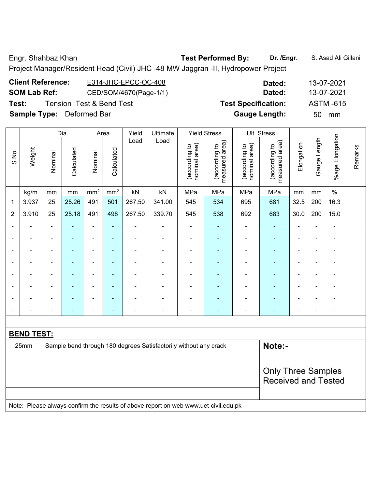Engr. Shahbaz Khan **Test Performed By:** Dr. /Engr. **S. Asad Ali Gillani** 

Project Manager/Resident Head (Civil) JHC -48 MW Jaggran -II, Hydropower Project

| <b>Client Reference:</b>         | E314-JHC-EPCC-OC-408     | Dated:                     |    | 13-07-2021       |
|----------------------------------|--------------------------|----------------------------|----|------------------|
| <b>SOM Lab Ref:</b>              | CED/SOM/4670(Page-1/1)   | Dated:                     |    | 13-07-2021       |
| Test:                            | Tension Test & Bend Test | <b>Test Specification:</b> |    | <b>ASTM -615</b> |
| <b>Sample Type:</b> Deformed Bar |                          | <b>Gauge Length:</b>       | 50 | mm               |

|                | Dia.              | Area           |                          | Yield           | Ultimate        | <b>Yield Stress</b> |                                                                                                      | Ult. Stress                    |                                 |                                |                                 |                |                |                 |         |
|----------------|-------------------|----------------|--------------------------|-----------------|-----------------|---------------------|------------------------------------------------------------------------------------------------------|--------------------------------|---------------------------------|--------------------------------|---------------------------------|----------------|----------------|-----------------|---------|
| S.No.          | Weight            | Nominal        | Calculated               | Nominal         | Calculated      | Load                | Load                                                                                                 | nominal area)<br>(according to | measured area)<br>(according to | nominal area)<br>(according to | measured area)<br>(according to | Elongation     | Gauge Length   | %age Elongation | Remarks |
|                | kg/m              | mm             | mm                       | mm <sup>2</sup> | mm <sup>2</sup> | kN                  | kN                                                                                                   | MPa                            | MPa                             | MPa                            | MPa                             | mm             | mm             | $\%$            |         |
| 1              | 3.937             | 25             | 25.26                    | 491             | 501             | 267.50              | 341.00                                                                                               | 545                            | 534                             | 695                            | 681                             | 32.5           | 200            | 16.3            |         |
| $\overline{2}$ | 3.910             | 25             | 25.18                    | 491             | 498             | 267.50              | 339.70                                                                                               | 545                            | 538                             | 692                            | 683                             | 30.0           | 200            | 15.0            |         |
| ۰              | $\frac{1}{2}$     | $\blacksquare$ | $\blacksquare$           | $\blacksquare$  | $\blacksquare$  | $\blacksquare$      | $\blacksquare$                                                                                       | $\blacksquare$                 | ۰                               | ÷,                             | $\blacksquare$                  | $\blacksquare$ | $\blacksquare$ | $\blacksquare$  |         |
|                | ÷.                | $\blacksquare$ | $\blacksquare$           | $\blacksquare$  | $\blacksquare$  | $\blacksquare$      | $\blacksquare$                                                                                       | ä,                             | ۰                               | ÷,                             | $\blacksquare$                  | $\blacksquare$ | ä,             | $\blacksquare$  |         |
|                |                   |                | $\overline{\phantom{0}}$ | $\blacksquare$  | $\overline{a}$  |                     |                                                                                                      |                                | $\blacksquare$                  |                                | $\blacksquare$                  |                |                | $\blacksquare$  |         |
|                | $\blacksquare$    | $\blacksquare$ | $\blacksquare$           | ä,              | ä,              | $\blacksquare$      |                                                                                                      |                                | $\overline{a}$                  |                                | $\blacksquare$                  | $\blacksquare$ | $\blacksquare$ | $\blacksquare$  |         |
|                | $\blacksquare$    | $\blacksquare$ | $\blacksquare$           | ÷,              | $\blacksquare$  | $\blacksquare$      |                                                                                                      | $\blacksquare$                 | -                               | $\blacksquare$                 | ۰                               | $\blacksquare$ | $\blacksquare$ | ÷               |         |
|                | $\blacksquare$    | $\blacksquare$ | $\blacksquare$           | $\blacksquare$  | $\blacksquare$  | $\blacksquare$      |                                                                                                      | $\blacksquare$                 | ۰                               | ÷,                             | ٠                               | $\blacksquare$ | L,             | ä,              |         |
|                |                   |                |                          | ÷               | ä,              |                     |                                                                                                      |                                |                                 |                                |                                 |                | ÷              | ۰               |         |
|                |                   |                |                          | ÷               | Ē.              |                     |                                                                                                      |                                |                                 | ÷                              |                                 |                | $\blacksquare$ | ÷               |         |
|                |                   |                |                          |                 |                 |                     |                                                                                                      |                                |                                 |                                |                                 |                |                |                 |         |
|                | <b>BEND TEST:</b> |                |                          |                 |                 |                     |                                                                                                      |                                |                                 |                                |                                 |                |                |                 |         |
|                | 25mm              |                |                          |                 |                 |                     | Sample bend through 180 degrees Satisfactorily without any crack                                     |                                |                                 |                                | Note:-                          |                |                |                 |         |
|                |                   |                |                          |                 |                 |                     |                                                                                                      |                                |                                 |                                |                                 |                |                |                 |         |
|                |                   |                |                          |                 |                 |                     |                                                                                                      |                                |                                 |                                | <b>Only Three Samples</b>       |                |                |                 |         |
|                |                   |                |                          |                 |                 |                     |                                                                                                      |                                |                                 |                                | <b>Received and Tested</b>      |                |                |                 |         |
|                |                   |                |                          |                 |                 |                     |                                                                                                      |                                |                                 |                                |                                 |                |                |                 |         |
|                |                   |                |                          |                 |                 |                     | Mater. Discuss allows a confiner the measure of above non-outrage coals correct and ability also als |                                |                                 |                                |                                 |                |                |                 |         |

Note: Please always confirm the results of above report on web www.uet-civil.edu.pk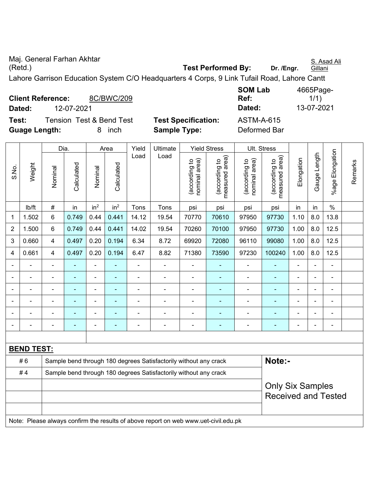Maj. General Farhan Akhtar (Retd.) **Test Performed By: Dr. /Engr.**  S. Asad Ali Gillani Lahore Garrison Education System C/O Headquarters 4 Corps, 9 Link Tufail Road, Lahore Cantt

| <b>Client Reference:</b> |  | 8C/BWC/209               |                            | Ref:         | 1/1)       |
|--------------------------|--|--------------------------|----------------------------|--------------|------------|
| Dated:                   |  | 12-07-2021               |                            | Dated:       | 13-07-2021 |
| Test:                    |  | Tension Test & Bend Test | <b>Test Specification:</b> | ASTM-A-615   |            |
| <b>Guage Length:</b>     |  | inch                     | <b>Sample Type:</b>        | Deformed Bar |            |

| <b>SOM Lab</b>              | 4665Page-  |
|-----------------------------|------------|
| Ref:                        | 1/1)       |
| Dated:                      | 13-07-2021 |
| $\Delta$ STM_ $\Delta$ _615 |            |

|                |                   | Dia.                    |                |                 | Area            | Yield          | Ultimate                                                                            |                                | <b>Yield Stress</b>             |                                | <b>Ult. Stress</b>              |                |              |                      |         |
|----------------|-------------------|-------------------------|----------------|-----------------|-----------------|----------------|-------------------------------------------------------------------------------------|--------------------------------|---------------------------------|--------------------------------|---------------------------------|----------------|--------------|----------------------|---------|
| S.No.          | Weight            | Nominal                 | Calculated     | Nominal         | Calculated      | Load           | Load                                                                                | nominal area)<br>(according to | measured area)<br>(according to | nominal area)<br>(according to | (according to<br>measured area) | Elongation     | Gauge Length | Elongation<br>%age I | Remarks |
|                | lb/ft             | $\#$                    | in             | in <sup>2</sup> | in <sup>2</sup> | Tons           | Tons                                                                                | psi                            | psi                             | psi                            | psi                             | in             | in           | $\%$                 |         |
| 1              | 1.502             | 6                       | 0.749          | 0.44            | 0.441           | 14.12          | 19.54                                                                               | 70770                          | 70610                           | 97950                          | 97730                           | 1.10           | 8.0          | 13.8                 |         |
| 2              | 1.500             | 6                       | 0.749          | 0.44            | 0.441           | 14.02          | 19.54                                                                               | 70260                          | 70100                           | 97950                          | 97730                           | 1.00           | 8.0          | 12.5                 |         |
| 3              | 0.660             | 4                       | 0.497          | 0.20            | 0.194           | 6.34           | 8.72                                                                                | 69920                          | 72080                           | 96110                          | 99080                           | 1.00           | 8.0          | 12.5                 |         |
| $\overline{4}$ | 0.661             | $\overline{\mathbf{4}}$ | 0.497          | 0.20            | 0.194           | 6.47           | 8.82                                                                                | 71380                          | 73590                           | 97230                          | 100240                          | 1.00           | 8.0          | 12.5                 |         |
|                |                   |                         |                |                 |                 |                |                                                                                     |                                |                                 |                                |                                 |                |              |                      |         |
|                |                   | $\blacksquare$          |                |                 |                 |                |                                                                                     | ÷,                             | $\blacksquare$                  | ÷                              |                                 | $\blacksquare$ |              | $\blacksquare$       |         |
|                |                   | $\blacksquare$          |                | $\blacksquare$  | $\blacksquare$  |                |                                                                                     | ä,                             | $\blacksquare$                  | Ē,                             |                                 | $\blacksquare$ | Ĭ.           | ÷                    |         |
|                |                   | $\blacksquare$          |                | $\blacksquare$  | $\blacksquare$  | $\blacksquare$ |                                                                                     | $\blacksquare$                 | $\blacksquare$                  | ÷                              |                                 | ÷              | ÷,           | ÷,                   |         |
|                | $\blacksquare$    | -                       | $\blacksquare$ | $\blacksquare$  | ä,              |                | ä,                                                                                  | $\blacksquare$                 | $\blacksquare$                  | $\blacksquare$                 | $\blacksquare$                  | ä,             |              | ä,                   |         |
|                |                   | -                       |                |                 |                 |                |                                                                                     | ä,                             |                                 | Ē,                             |                                 |                |              | $\blacksquare$       |         |
|                |                   |                         |                |                 |                 |                |                                                                                     |                                |                                 |                                |                                 |                |              |                      |         |
|                | <b>BEND TEST:</b> |                         |                |                 |                 |                |                                                                                     |                                |                                 |                                |                                 |                |              |                      |         |
|                | #6                |                         |                |                 |                 |                | Sample bend through 180 degrees Satisfactorily without any crack                    |                                |                                 |                                | Note:-                          |                |              |                      |         |
|                | #4                |                         |                |                 |                 |                | Sample bend through 180 degrees Satisfactorily without any crack                    |                                |                                 |                                |                                 |                |              |                      |         |
|                |                   |                         |                |                 |                 |                |                                                                                     |                                |                                 |                                | <b>Only Six Samples</b>         |                |              |                      |         |
|                |                   |                         |                |                 |                 |                |                                                                                     |                                |                                 |                                | <b>Received and Tested</b>      |                |              |                      |         |
|                |                   |                         |                |                 |                 |                |                                                                                     |                                |                                 |                                |                                 |                |              |                      |         |
|                |                   |                         |                |                 |                 |                | Note: Please always confirm the results of above report on web www.uet-civil.edu.pk |                                |                                 |                                |                                 |                |              |                      |         |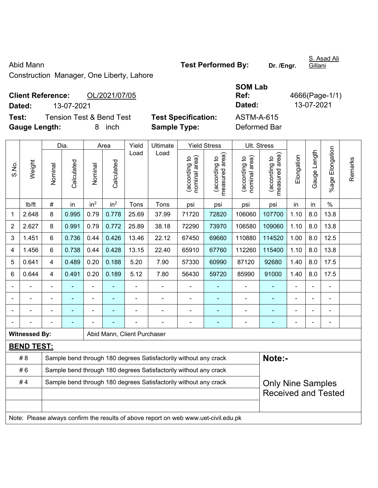S.No.

Construction Manager, One Liberty, Lahore

| <b>Client Reference:</b> |            | OL/2021/07/05                       |                            | Ref:       | 4666(Page-1/ |  |  |
|--------------------------|------------|-------------------------------------|----------------------------|------------|--------------|--|--|
| Dated:                   | 13-07-2021 |                                     |                            | Dated:     | 13-07-2021   |  |  |
| Test:                    |            | <b>Tension Test &amp; Bend Test</b> | <b>Test Specification:</b> | ASTM-A-615 |              |  |  |
| <b>.</b>                 |            |                                     | - - -                      |            |              |  |  |

**Test Specification:** ASTM-A-615 **Gauge Length:** 8 inch **Sample Type:** Deformed Bar

Dia. | Area | Yield | Ultimate | Yield Stress | Ult. Stress %age Elongation %age Elongation Gauge Length Load Load Gauge Length (according to<br>measured area) measured area) measured area) (according to<br>nominal area) (according to<br>nominal area) nominal area) nominal area) (according to<br>measured area) Elongation Elongation (according to (according to (according to (according to Remarks Remarks Weight **Calculated Calculated** Calculated Calculated Nominal Nominal Nominal Nominal | lb/ft | # | in | in<sup>2</sup> | in<sup>2</sup> | Tons | Tons | psi | psi | psi | psi | in | in | % 1 | 2.648 | 8 | 0.995 | 0.79 | 0.778 | 25.69 | 37.99 | 71720 | 72820 | 106060 | 107700 | 1.10 | 8.0 | 13.8 2 | 2.627 | 8 | 0.991 | 0.79 | 0.772 | 25.89 | 38.18 | 72290 | 73970 | 106580 | 109060 | 1.10 | 8.0 | 13.8 3 | 1.451 | 6 | 0.736 | 0.44 | 0.426 | 13.46 | 22.12 | 67450 | 69660 | 110880 | 114520 | 1.00 | 8.0 | 12.5 4 | 1.456 | 6 | 0.738 | 0.44 | 0.428 | 13.15 | 22.40 | 65910 | 67760 | 112260 | 115400 | 1.10 | 8.0 | 13.8 5 | 0.641 | 4 | 0.489 | 0.20 | 0.188 | 5.20 | 7.90 | 57330 | 60990 | 87120 | 92680 | 1.40 | 8.0 | 17.5 6 | 0.644 | 4 | 0.491 | 0.20 | 0.189 | 5.12 | 7.80 | 56430 | 59720 | 85990 | 91000 | 1.40 | 8.0 | 17.5 - - - - - - - - - - - - - - - - - - - - - - - - - - - - - - - - - - - - - - - - - - - - - - - - - - - - - - - - - - - - **Witnessed By: Abid Mann, Client Purchaser BEND TEST:**  # 8 Sample bend through 180 degrees Satisfactorily without any crack **Note:-**#6 Sample bend through 180 degrees Satisfactorily without any crack #4 Sample bend through 180 degrees Satisfactorily without any crack

Only Nine Samples Received and Tested

Note: Please always confirm the results of above report on web www.uet-civil.edu.pk

S. Asad Ali

Abid Mann **Test Performed By:** Dr. /Engr.

**SOM Lab** 

**Gillani** 

**Ref:** 4666(Page-1/1)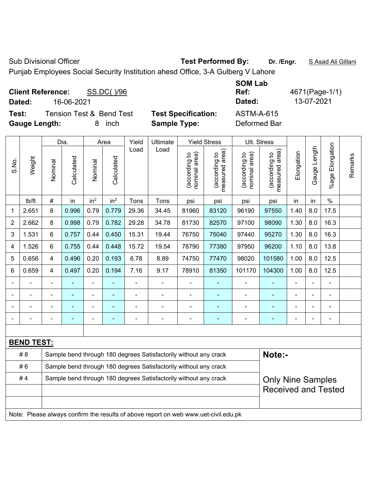Sub Divisional Officer **Test Performed By:** Dr. /Engr. **SAsad Ali Gillani** Sub Divisional Officer

Punjab Employees Social Security Institution ahesd Office, 3-A Gulberg V Lahore

| <b>Client Reference:</b><br>SS.DC()/96<br>16-06-2021<br>Dated:                     |                                                   | <b>SOM Lab</b><br>Ref:<br>Dated:  | 4671(Page-1/1)<br>13-07-2021 |
|------------------------------------------------------------------------------------|---------------------------------------------------|-----------------------------------|------------------------------|
| <b>Tension Test &amp; Bend Test</b><br>Test:<br><b>Gauge Length:</b><br>inch<br>8. | <b>Test Specification:</b><br><b>Sample Type:</b> | <b>ASTM-A-615</b><br>Deformed Bar |                              |

|                |                   |                                                                                              | Dia.           |                 | Area            | Yield          | Ultimate                                                         |                                | <b>Yield Stress</b>             |                                | Ult. Stress                     |                          |                |                 |         |
|----------------|-------------------|----------------------------------------------------------------------------------------------|----------------|-----------------|-----------------|----------------|------------------------------------------------------------------|--------------------------------|---------------------------------|--------------------------------|---------------------------------|--------------------------|----------------|-----------------|---------|
| S.No.          | Weight            | Nominal                                                                                      | Calculated     | Nominal         | Calculated      | Load           | Load                                                             | nominal area)<br>(according to | (according to<br>measured area) | nominal area)<br>(according to | measured area)<br>(according to | Elongation               | Gauge Length   | %age Elongation | Remarks |
|                | lb/ft             | #                                                                                            | in             | in <sup>2</sup> | in <sup>2</sup> | Tons           | Tons                                                             | psi                            | psi                             | psi                            | psi                             | in                       | in             | $\frac{0}{0}$   |         |
| 1              | 2.651             | 8                                                                                            | 0.996          | 0.79            | 0.779           | 29.36          | 34.45                                                            | 81960                          | 83120                           | 96190                          | 97550                           | 1.40                     | 8.0            | 17.5            |         |
| $\overline{2}$ | 2.662             | 8                                                                                            | 0.998          | 0.79            | 0.782           | 29.28          | 34.78                                                            | 81730                          | 82570                           | 97100                          | 98090                           | 1.30                     | 8.0            | 16.3            |         |
| 3              | 1.531             | 6                                                                                            | 0.757          | 0.44            | 0.450           | 15.31          | 19.44                                                            | 76750                          | 75040                           | 97440                          | 95270                           | 1.30                     | 8.0            | 16.3            |         |
| 4              | 1.526             | 6                                                                                            | 0.755          | 0.44            | 0.448           | 15.72          | 19.54                                                            | 78790                          | 77380                           | 97950                          | 96200                           | 1.10                     | 8.0            | 13.8            |         |
| 5              | 0.656             | $\overline{\mathbf{4}}$                                                                      | 0.496          | 0.20            | 0.193           | 6.78           | 8.89                                                             | 74750                          | 77470                           | 98020                          | 101580                          | 1.00                     | 8.0            | 12.5            |         |
| 6              | 0.659             | $\overline{\mathbf{4}}$                                                                      | 0.497          | 0.20            | 0.194           | 7.16           | 9.17                                                             | 78910                          | 81350                           | 101170                         | 104300                          | 1.00                     | 8.0            | 12.5            |         |
|                |                   |                                                                                              |                | $\blacksquare$  |                 |                | $\blacksquare$                                                   |                                |                                 |                                |                                 | Ē,                       |                | $\blacksquare$  |         |
|                | $\blacksquare$    |                                                                                              | $\blacksquare$ | ۰               |                 | $\blacksquare$ | $\blacksquare$                                                   | $\blacksquare$                 | ۰                               | $\blacksquare$                 | ٠                               |                          | $\blacksquare$ | ä,              |         |
|                |                   |                                                                                              | $\blacksquare$ | $\blacksquare$  |                 |                | $\blacksquare$                                                   | $\blacksquare$                 | ÷                               | $\blacksquare$                 | ۰                               |                          |                | $\blacksquare$  |         |
|                |                   |                                                                                              | $\blacksquare$ | ۰               | ۰               | $\blacksquare$ | $\overline{\phantom{0}}$                                         | $\overline{a}$                 | $\blacksquare$                  | $\overline{a}$                 | ۰                               | $\overline{\phantom{0}}$ |                | ÷               |         |
|                |                   |                                                                                              |                |                 |                 |                |                                                                  |                                |                                 |                                |                                 |                          |                |                 |         |
|                | <b>BEND TEST:</b> |                                                                                              |                |                 |                 |                |                                                                  |                                |                                 |                                |                                 |                          |                |                 |         |
|                | # 8               |                                                                                              |                |                 |                 |                | Sample bend through 180 degrees Satisfactorily without any crack |                                |                                 |                                | Note:-                          |                          |                |                 |         |
|                | #6                |                                                                                              |                |                 |                 |                | Sample bend through 180 degrees Satisfactorily without any crack |                                |                                 |                                |                                 |                          |                |                 |         |
|                | #4                | Sample bend through 180 degrees Satisfactorily without any crack<br><b>Only Nine Samples</b> |                |                 |                 |                |                                                                  |                                |                                 |                                |                                 |                          |                |                 |         |
|                |                   |                                                                                              |                |                 |                 |                |                                                                  |                                |                                 |                                | <b>Received and Tested</b>      |                          |                |                 |         |
|                |                   |                                                                                              |                |                 |                 |                |                                                                  |                                |                                 |                                |                                 |                          |                |                 |         |
|                |                   | Note: Please always confirm the results of above report on web www.uet-civil.edu.pk          |                |                 |                 |                |                                                                  |                                |                                 |                                |                                 |                          |                |                 |         |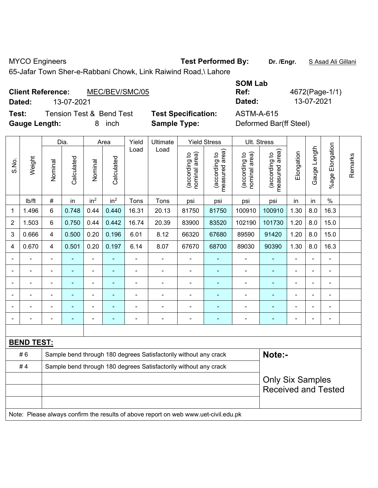MYCO Engineers **Test Performed By:** Dr. /Engr. **SAsad Ali Gillani** By: Dr. /Engr. **SAsad Ali Gillani** 

65-Jafar Town Sher-e-Rabbani Chowk, Link Raiwind Road,\ Lahore

## **Client Reference:** MEC/BEV/SMC/05

**Test:** Tension Test & Bend Test **Test Specification:** ASTM-A-615 **Gauge Length:** 8 inch **Sample Type:** Deformed Bar(ff Steel)

**SOM Lab Ref:** 4672(Page-1/1) **Dated:** 13-07-2021 **Dated:** 13-07-2021

|                |                   | Dia.<br>Yield<br>Ultimate<br><b>Yield Stress</b><br>Area |                                                       |                 |                 |                                                                  |                                                                                     |                                |                                 | Ult. Stress                    |                                 |                          |              |                       |         |
|----------------|-------------------|----------------------------------------------------------|-------------------------------------------------------|-----------------|-----------------|------------------------------------------------------------------|-------------------------------------------------------------------------------------|--------------------------------|---------------------------------|--------------------------------|---------------------------------|--------------------------|--------------|-----------------------|---------|
| S.No.          | Weight            | Nominal                                                  | Calculated                                            | Nominal         | Calculated      | Load                                                             | Load                                                                                | nominal area)<br>(according to | measured area)<br>(according to | nominal area)<br>(according to | (according to<br>measured area) | Elongation               | Gauge Length | Elongation<br>$%$ age | Remarks |
|                | lb/ft             | #                                                        | in                                                    | in <sup>2</sup> | in <sup>2</sup> | Tons                                                             | Tons                                                                                | psi                            | psi                             | psi                            | psi                             | in                       | in           | $\%$                  |         |
| 1              | 1.496             | 6                                                        | 0.748                                                 | 0.44            | 0.440           | 16.31                                                            | 20.13                                                                               | 81750                          | 81750                           | 100910                         | 100910                          | 1.30                     | 8.0          | 16.3                  |         |
| $\overline{2}$ | 1.503             | 6                                                        | 0.750                                                 | 0.44            | 0.442           | 16.74                                                            | 20.39                                                                               | 83900                          | 83520                           | 102190                         | 101730                          | 1.20                     | 8.0          | 15.0                  |         |
| 3              | 0.666             | 4                                                        | 0.500                                                 | 0.20            | 0.196           | 6.01                                                             | 8.12                                                                                | 66320                          | 67680                           | 89590                          | 91420                           | 1.20                     | 8.0          | 15.0                  |         |
| 4              | 0.670             | 4                                                        | 0.501                                                 | 0.20            | 0.197           | 6.14                                                             | 8.07                                                                                | 67670                          | 68700                           | 89030                          | 90390                           | 1.30                     | 8.0          | 16.3                  |         |
| $\blacksquare$ |                   | ä,                                                       | $\blacksquare$                                        | $\blacksquare$  |                 | $\blacksquare$                                                   | $\blacksquare$                                                                      | $\blacksquare$                 | $\blacksquare$                  | $\blacksquare$                 | ÷                               | $\blacksquare$           |              | $\blacksquare$        |         |
|                | ÷,                | $\blacksquare$                                           | ÷,                                                    | $\blacksquare$  | $\blacksquare$  | $\blacksquare$                                                   | $\blacksquare$                                                                      | $\blacksquare$                 | $\sim$                          | $\blacksquare$                 | ÷                               | $\overline{\phantom{a}}$ |              | $\blacksquare$        |         |
|                | $\blacksquare$    | ä,                                                       | $\blacksquare$                                        | $\blacksquare$  | $\blacksquare$  | $\blacksquare$                                                   | $\blacksquare$                                                                      | $\blacksquare$                 | $\blacksquare$                  | $\blacksquare$                 | $\blacksquare$                  | $\blacksquare$           |              | $\blacksquare$        |         |
|                | $\blacksquare$    |                                                          |                                                       |                 |                 | $\overline{a}$                                                   | $\blacksquare$                                                                      | $\blacksquare$                 |                                 | $\blacksquare$                 | $\overline{a}$                  | $\blacksquare$           |              |                       |         |
|                |                   |                                                          |                                                       |                 |                 |                                                                  |                                                                                     |                                |                                 |                                |                                 |                          |              |                       |         |
|                |                   | ä,                                                       | ۰                                                     | $\overline{a}$  |                 | Ē,                                                               | $\blacksquare$                                                                      | $\blacksquare$                 | $\blacksquare$                  | $\blacksquare$                 | ÷                               | $\blacksquare$           |              | $\blacksquare$        |         |
|                |                   |                                                          |                                                       |                 |                 |                                                                  |                                                                                     |                                |                                 |                                |                                 |                          |              |                       |         |
|                | <b>BEND TEST:</b> |                                                          |                                                       |                 |                 |                                                                  |                                                                                     |                                |                                 |                                |                                 |                          |              |                       |         |
|                | #6                |                                                          |                                                       |                 |                 |                                                                  | Sample bend through 180 degrees Satisfactorily without any crack                    |                                |                                 |                                | Note:-                          |                          |              |                       |         |
|                | #4                |                                                          |                                                       |                 |                 | Sample bend through 180 degrees Satisfactorily without any crack |                                                                                     |                                |                                 |                                |                                 |                          |              |                       |         |
|                |                   |                                                          | <b>Only Six Samples</b><br><b>Received and Tested</b> |                 |                 |                                                                  |                                                                                     |                                |                                 |                                |                                 |                          |              |                       |         |
|                |                   |                                                          |                                                       |                 |                 |                                                                  | Note: Please always confirm the results of above report on web www.uet-civil.edu.pk |                                |                                 |                                |                                 |                          |              |                       |         |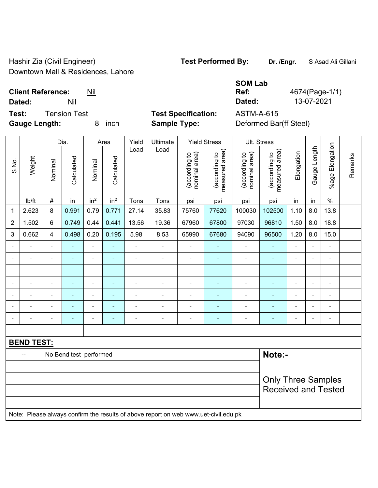Hashir Zia (Civil Engineer) **Test Performed By:** Dr. /Engr. **SAsad Ali Gillani** Downtown Mall & Residences, Lahore

| <b>Client Reference:</b> |              | Nil |                            | Ref:       | 4674(Page-1/ |
|--------------------------|--------------|-----|----------------------------|------------|--------------|
| Dated:                   | Nil          |     |                            | Dated:     | 13-07-2021   |
| Test:                    | Tension Test |     | <b>Test Specification:</b> | ASTM-A-615 |              |

**Test Specification:** ASTM-A-615 **Gauge Length:** 8 inch **Sample Type:** Deformed Bar(ff Steel)

| <b>SOM Lab</b> |        |
|----------------|--------|
| Ref:           | 4674(P |
| Dated:         | 13-07  |
| ~--            |        |

Page-1/1)

|                              |                   |                | Dia.                   |                          | Area            | Yield          | Ultimate                                                                            |                                | <b>Yield Stress</b>             |                                | Ult. Stress                     |                |                |                              |         |
|------------------------------|-------------------|----------------|------------------------|--------------------------|-----------------|----------------|-------------------------------------------------------------------------------------|--------------------------------|---------------------------------|--------------------------------|---------------------------------|----------------|----------------|------------------------------|---------|
| S.No.                        | Weight            | Nominal        | Calculated             | Nominal                  | Calculated      | Load           | Load                                                                                | (according to<br>nominal area) | measured area)<br>(according to | nominal area)<br>(according to | (according to<br>measured area) | Elongation     | Gauge Length   | %age Elongation              | Remarks |
|                              | lb/ft             | $\#$           | in                     | in <sup>2</sup>          | in <sup>2</sup> | Tons           | Tons                                                                                | psi                            | psi                             | psi                            | psi                             | in             | in             | $\%$                         |         |
| 1                            | 2.623             | 8              | 0.991                  | 0.79                     | 0.771           | 27.14          | 35.83                                                                               | 75760                          | 77620                           | 100030                         | 102500                          | 1.10           | 8.0            | 13.8                         |         |
| $\overline{2}$               | 1.502             | $6\phantom{a}$ | 0.749                  | 0.44                     | 0.441           | 13.56          | 19.36                                                                               | 67960                          | 67800                           | 97030                          | 96810                           | 1.50           | 8.0            | 18.8                         |         |
| 3                            | 0.662             | 4              | 0.498                  | 0.20                     | 0.195           | 5.98           | 8.53                                                                                | 65990                          | 67680                           | 94090                          | 96500                           | 1.20           | 8.0            | 15.0                         |         |
| $\blacksquare$               |                   | $\blacksquare$ | $\blacksquare$         | $\blacksquare$           |                 | $\blacksquare$ | $\blacksquare$                                                                      | ä,                             |                                 | $\blacksquare$                 |                                 | $\overline{a}$ |                |                              |         |
| $\overline{a}$               |                   | $\blacksquare$ | $\blacksquare$         | ÷                        | $\overline{a}$  | $\blacksquare$ | $\frac{1}{2}$                                                                       | ä,                             | $\overline{\phantom{a}}$        | $\blacksquare$                 | $\overline{\phantom{0}}$        | $\blacksquare$ | $\blacksquare$ | $\blacksquare$               |         |
| $\qquad \qquad \blacksquare$ | $\blacksquare$    | $\blacksquare$ | $\blacksquare$         | $\overline{\phantom{a}}$ | $\blacksquare$  | $\blacksquare$ | $\overline{\phantom{a}}$                                                            | $\blacksquare$                 | $\blacksquare$                  | $\blacksquare$                 | ٠                               | ÷,             | $\blacksquare$ | $\blacksquare$               |         |
| $\blacksquare$               | $\blacksquare$    | $\blacksquare$ | $\blacksquare$         | ÷                        | ÷               | $\blacksquare$ | $\frac{1}{2}$                                                                       | ä,                             | $\blacksquare$                  | $\blacksquare$                 | $\blacksquare$                  | $\blacksquare$ | $\blacksquare$ | $\qquad \qquad \blacksquare$ |         |
| $\blacksquare$               | $\blacksquare$    | $\blacksquare$ | $\blacksquare$         | ۰                        | ÷               | $\blacksquare$ | $\frac{1}{2}$                                                                       | $\blacksquare$                 | $\blacksquare$                  | $\blacksquare$                 | $\blacksquare$                  | $\blacksquare$ | $\blacksquare$ | $\blacksquare$               |         |
|                              |                   | $\blacksquare$ | ä,                     | $\blacksquare$           |                 |                | $\blacksquare$                                                                      |                                |                                 |                                |                                 |                |                | $\blacksquare$               |         |
|                              |                   | $\blacksquare$ | -                      | $\overline{\phantom{0}}$ |                 |                | $\blacksquare$                                                                      | $\blacksquare$                 | $\overline{\phantom{a}}$        | $\overline{a}$                 | $\overline{\phantom{0}}$        | $\blacksquare$ |                | $\blacksquare$               |         |
|                              |                   |                |                        |                          |                 |                |                                                                                     |                                |                                 |                                |                                 |                |                |                              |         |
|                              | <b>BEND TEST:</b> |                |                        |                          |                 |                |                                                                                     |                                |                                 |                                |                                 |                |                |                              |         |
|                              | $\overline{a}$    |                | No Bend test performed |                          |                 |                |                                                                                     |                                |                                 |                                | Note:-                          |                |                |                              |         |
|                              |                   |                |                        |                          |                 |                |                                                                                     |                                |                                 |                                |                                 |                |                |                              |         |
|                              |                   |                |                        |                          |                 |                |                                                                                     |                                |                                 |                                | <b>Only Three Samples</b>       |                |                |                              |         |
|                              |                   |                |                        |                          |                 |                |                                                                                     |                                |                                 |                                | <b>Received and Tested</b>      |                |                |                              |         |
|                              |                   |                |                        |                          |                 |                |                                                                                     |                                |                                 |                                |                                 |                |                |                              |         |
|                              |                   |                |                        |                          |                 |                | Note: Please always confirm the results of above report on web www.uet-civil.edu.pk |                                |                                 |                                |                                 |                |                |                              |         |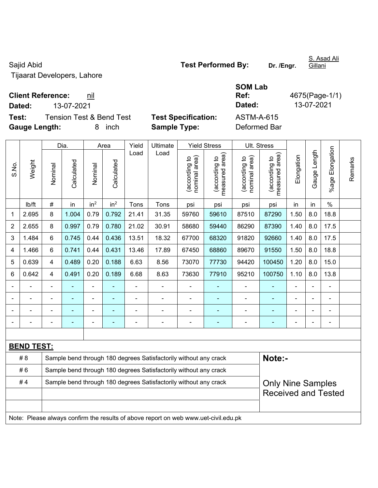Sajid Abid **Test Performed By:** Dr. /Engr. Tijaarat Developers, Lahore

**Test:** Tension Test & Bend Test **Test Specification:** ASTM-A-615 **Gauge Length:** 8 inch **Sample Type:** Deformed Bar

|                |                   |                          | Dia.                                                             |                 | Area            | Yield          | Ultimate                                                         |                                   | <b>Yield Stress</b>                           | Ult. Stress                    |                                 |                |              |                 |         |
|----------------|-------------------|--------------------------|------------------------------------------------------------------|-----------------|-----------------|----------------|------------------------------------------------------------------|-----------------------------------|-----------------------------------------------|--------------------------------|---------------------------------|----------------|--------------|-----------------|---------|
| S.No.          | Weight            | Nominal                  | Calculated                                                       | Nominal         | Calculated      | Load           | Load                                                             | area)<br>(according to<br>nominal | (according to  <br>measured area)<br>measured | nominal area)<br>(according to | measured area)<br>(according to | Elongation     | Gauge Length | %age Elongation | Remarks |
|                | lb/ft             | $\#$                     | in                                                               | in <sup>2</sup> | in <sup>2</sup> | Tons           | Tons                                                             | psi                               | psi                                           | psi                            | psi                             | in             | in           | $\%$            |         |
| 1              | 2.695             | 8                        | 1.004                                                            | 0.79            | 0.792           | 21.41          | 31.35                                                            | 59760                             | 59610                                         | 87510                          | 87290                           | 1.50           | 8.0          | 18.8            |         |
| $\overline{2}$ | 2.655             | 8                        | 0.997                                                            | 0.79            | 0.780           | 21.02          | 30.91                                                            | 58680                             | 59440                                         | 86290                          | 87390                           | 1.40           | 8.0          | 17.5            |         |
| 3              | 1.484             | 6                        | 0.745                                                            | 0.44            | 0.436           | 13.51          | 18.32                                                            | 67700                             | 68320                                         | 91820                          | 92660                           | 1.40           | 8.0          | 17.5            |         |
| 4              | 1.466             | 6                        | 0.741                                                            | 0.44            | 0.431           | 13.46          | 17.89                                                            | 67450                             | 68860                                         | 89670                          | 91550                           | 1.50           | 8.0          | 18.8            |         |
| 5              | 0.639             | 4                        | 0.489                                                            | 0.20            | 0.188           | 6.63           | 8.56                                                             | 73070                             | 77730                                         | 94420                          | 100450                          | 1.20           | 8.0          | 15.0            |         |
| 6              | 0.642             | $\overline{4}$           | 0.491                                                            | 0.20            | 0.189           | 6.68           | 8.63                                                             | 73630                             | 77910                                         | 95210                          | 100750                          | 1.10           | 8.0          | 13.8            |         |
|                |                   | $\blacksquare$           | $\blacksquare$                                                   | ÷               |                 | $\blacksquare$ | ÷,                                                               | ä,                                | ۰                                             |                                | $\blacksquare$                  | $\blacksquare$ |              | $\blacksquare$  |         |
|                |                   | $\overline{\phantom{0}}$ | $\blacksquare$                                                   | ÷               |                 | $\blacksquare$ | ÷                                                                |                                   | $\blacksquare$                                | ۰                              | $\blacksquare$                  | $\blacksquare$ |              | $\blacksquare$  |         |
|                |                   |                          |                                                                  | ۰               |                 |                | $\overline{a}$                                                   | $\overline{a}$                    | ۰                                             | ۰                              |                                 | $\blacksquare$ |              | $\blacksquare$  |         |
|                |                   |                          |                                                                  | ۰               |                 |                | $\overline{a}$                                                   | $\overline{a}$                    |                                               | $\blacksquare$                 | $\blacksquare$                  | $\blacksquare$ |              | $\blacksquare$  |         |
|                |                   |                          |                                                                  |                 |                 |                |                                                                  |                                   |                                               |                                |                                 |                |              |                 |         |
|                | <b>BEND TEST:</b> |                          |                                                                  |                 |                 |                |                                                                  |                                   |                                               |                                |                                 |                |              |                 |         |
|                | # 8               |                          |                                                                  |                 |                 |                | Sample bend through 180 degrees Satisfactorily without any crack |                                   |                                               |                                | Note:-                          |                |              |                 |         |
|                | #6                |                          | Sample bend through 180 degrees Satisfactorily without any crack |                 |                 |                |                                                                  |                                   |                                               |                                |                                 |                |              |                 |         |

#4 | Sample bend through 180 degrees Satisfactorily without any crack

Note: Please always confirm the results of above report on web www.uet-civil.edu.pk

|        |                                 | <b>SOM Lab</b> |              |
|--------|---------------------------------|----------------|--------------|
|        | <b>Client Reference:</b><br>nil | Ref:           | 4675(Page-1/ |
| Dated: | 13-07-2021                      | Dated:         | 13-07-2021   |

**S**(Page-1/1)

Only Nine Samples Received and Tested

S. Asad Ali **Gillani**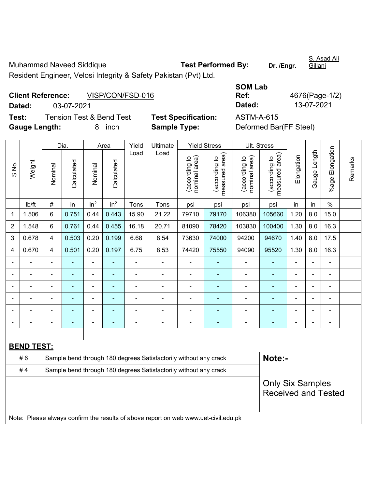Muhammad Naveed Siddique **Test Performed By:** Dr. /Engr. S. Asad Ali Gillani Resident Engineer, Velosi Integrity & Safety Pakistan (Pvt) Ltd.

|                             | <b>Client Reference:</b><br>VISP/CON/FSD-016 |                            | Ref:       | 4676(Page-1/                                                                                                                                                                                                                                                                                                                       |
|-----------------------------|----------------------------------------------|----------------------------|------------|------------------------------------------------------------------------------------------------------------------------------------------------------------------------------------------------------------------------------------------------------------------------------------------------------------------------------------|
| Dated:                      | 03-07-2021                                   |                            | Dated:     | 13-07-2021                                                                                                                                                                                                                                                                                                                         |
| Test:                       | Tension Test & Bend Test                     | <b>Test Specification:</b> | ASTM-A-615 |                                                                                                                                                                                                                                                                                                                                    |
| $\sim$ $\sim$ $\sim$ $\sim$ |                                              | - - -                      |            | $\mathbf{F}$ $\mathbf{F}$ $\mathbf{F}$ $\mathbf{F}$ $\mathbf{F}$ $\mathbf{F}$ $\mathbf{F}$ $\mathbf{F}$ $\mathbf{F}$ $\mathbf{F}$ $\mathbf{F}$ $\mathbf{F}$ $\mathbf{F}$ $\mathbf{F}$ $\mathbf{F}$ $\mathbf{F}$ $\mathbf{F}$ $\mathbf{F}$ $\mathbf{F}$ $\mathbf{F}$ $\mathbf{F}$ $\mathbf{F}$ $\mathbf{F}$ $\mathbf{F}$ $\mathbf{$ |

| <b>SOM Lab</b> |                |
|----------------|----------------|
| Ref:           | 4676(Page-1/2) |
| Dated:         | 13-07-2021     |
|                |                |

**Gauge Length:** 8 inch **Sample Type:** Deformed Bar(FF Steel)

**St Specification:** ASTM-A-615

|                |                   |                                                                                     | Dia.           |                 | Area            | Yield                                                            | Ultimate                                                         |                                | <b>Yield Stress</b>             |                                | Ult. Stress                     |                |                          |                 |         |
|----------------|-------------------|-------------------------------------------------------------------------------------|----------------|-----------------|-----------------|------------------------------------------------------------------|------------------------------------------------------------------|--------------------------------|---------------------------------|--------------------------------|---------------------------------|----------------|--------------------------|-----------------|---------|
| S.No.          | Weight            | Nominal                                                                             | Calculated     | Nominal         | Calculated      | Load                                                             | Load                                                             | nominal area)<br>(according to | measured area)<br>(according to | (according to<br>nominal area) | (according to<br>measured area) | Elongation     | Gauge Length             | %age Elongation | Remarks |
|                | lb/ft             | $\#$                                                                                | in             | in <sup>2</sup> | in <sup>2</sup> | Tons                                                             | Tons                                                             | psi                            | psi                             | psi                            | psi                             | in             | in                       | $\frac{0}{0}$   |         |
| 1              | 1.506             | 6                                                                                   | 0.751          | 0.44            | 0.443           | 15.90                                                            | 21.22                                                            | 79710                          | 79170                           | 106380                         | 105660                          | 1.20           | 8.0                      | 15.0            |         |
| $\overline{2}$ | 1.548             | 6                                                                                   | 0.761          | 0.44            | 0.455           | 16.18                                                            | 20.71                                                            | 81090                          | 78420                           | 103830                         | 100400                          | 1.30           | 8.0                      | 16.3            |         |
| 3              | 0.678             | 4                                                                                   | 0.503          | 0.20            | 0.199           | 6.68                                                             | 8.54                                                             | 73630                          | 74000                           | 94200                          | 94670                           | 1.40           | 8.0                      | 17.5            |         |
| 4              | 0.670             | 4                                                                                   | 0.501          | 0.20            | 0.197           | 6.75                                                             | 8.53                                                             | 74420                          | 75550                           | 94090                          | 95520                           | 1.30           | 8.0                      | 16.3            |         |
|                |                   | $\blacksquare$                                                                      | ÷              | $\blacksquare$  |                 | $\blacksquare$                                                   | $\blacksquare$                                                   | $\blacksquare$                 | $\blacksquare$                  | $\blacksquare$                 | ٠                               | $\blacksquare$ | ä,                       | $\blacksquare$  |         |
|                | ä,                | $\blacksquare$                                                                      | ä,             | $\blacksquare$  | $\sim$          | $\blacksquare$                                                   | $\blacksquare$                                                   | L,                             | $\blacksquare$                  | $\blacksquare$                 | $\blacksquare$                  | $\blacksquare$ | $\overline{\phantom{a}}$ | $\blacksquare$  |         |
|                | $\blacksquare$    | $\blacksquare$                                                                      | $\blacksquare$ | $\blacksquare$  | $\blacksquare$  | $\blacksquare$                                                   | $\blacksquare$                                                   | $\blacksquare$                 | ٠                               | $\blacksquare$                 | ٠                               | $\blacksquare$ |                          | $\blacksquare$  |         |
|                |                   |                                                                                     |                | ÷,              |                 | ä,                                                               | ä,                                                               | ä,                             | ٠                               |                                |                                 |                |                          | ä,              |         |
|                |                   |                                                                                     |                |                 |                 |                                                                  |                                                                  |                                |                                 |                                |                                 |                |                          |                 |         |
|                |                   |                                                                                     |                |                 |                 |                                                                  |                                                                  | -                              |                                 |                                |                                 |                |                          |                 |         |
|                |                   |                                                                                     |                |                 |                 |                                                                  |                                                                  |                                |                                 |                                |                                 |                |                          |                 |         |
|                | <b>BEND TEST:</b> |                                                                                     |                |                 |                 |                                                                  |                                                                  |                                |                                 |                                |                                 |                |                          |                 |         |
|                | #6                |                                                                                     |                |                 |                 |                                                                  | Sample bend through 180 degrees Satisfactorily without any crack |                                |                                 |                                | Note:-                          |                |                          |                 |         |
|                | #4                |                                                                                     |                |                 |                 | Sample bend through 180 degrees Satisfactorily without any crack |                                                                  |                                |                                 |                                |                                 |                |                          |                 |         |
|                |                   | <b>Only Six Samples</b>                                                             |                |                 |                 |                                                                  |                                                                  |                                |                                 |                                |                                 |                |                          |                 |         |
|                |                   |                                                                                     |                |                 |                 |                                                                  |                                                                  |                                |                                 |                                | <b>Received and Tested</b>      |                |                          |                 |         |
|                |                   |                                                                                     |                |                 |                 |                                                                  |                                                                  |                                |                                 |                                |                                 |                |                          |                 |         |
|                |                   | Note: Please always confirm the results of above report on web www.uet-civil.edu.pk |                |                 |                 |                                                                  |                                                                  |                                |                                 |                                |                                 |                |                          |                 |         |